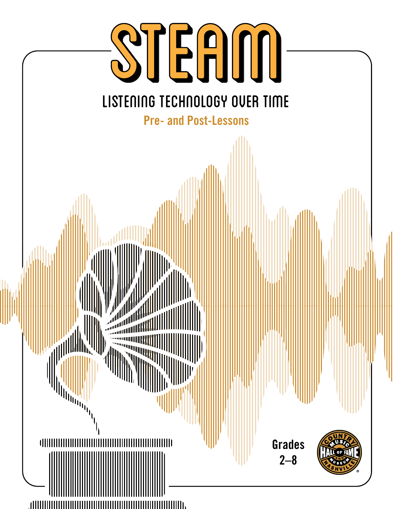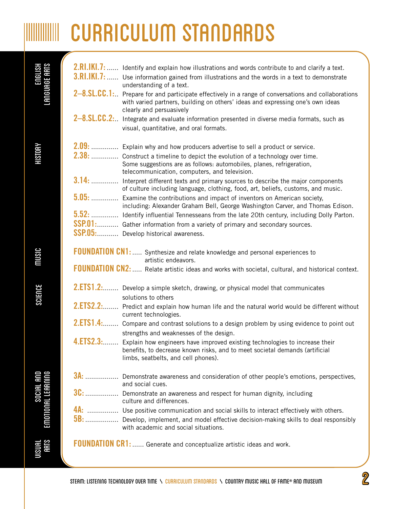# **WILLIANG CURRICULUM STANDARDS**

| LANGUAGE ARTS<br>LANGUAGE ARTS           | 2.RI.IKI.7:<br>$3.RI.IKI.7:$ | Identify and explain how illustrations and words contribute to and clarify a text.<br>Use information gained from illustrations and the words in a text to demonstrate<br>understanding of a text.          |
|------------------------------------------|------------------------------|-------------------------------------------------------------------------------------------------------------------------------------------------------------------------------------------------------------|
|                                          | $2 - 8$ . SL. CC. 1:         | Prepare for and participate effectively in a range of conversations and collaborations<br>with varied partners, building on others' ideas and expressing one's own ideas<br>clearly and persuasively        |
|                                          |                              | 2-8.SL.CC.2: Integrate and evaluate information presented in diverse media formats, such as                                                                                                                 |
|                                          |                              | visual, quantitative, and oral formats.                                                                                                                                                                     |
|                                          |                              | 2.09:  Explain why and how producers advertise to sell a product or service.                                                                                                                                |
| <b>HISTORY</b>                           |                              | 2.38:  Construct a timeline to depict the evolution of a technology over time.<br>Some suggestions are as follows: automobiles, planes, refrigeration,<br>telecommunication, computers, and television.     |
|                                          |                              | 3.14:  Interpret different texts and primary sources to describe the major components<br>of culture including language, clothing, food, art, beliefs, customs, and music.                                   |
|                                          |                              | 5.05:  Examine the contributions and impact of inventors on American society,<br>including: Alexander Graham Bell, George Washington Carver, and Thomas Edison.                                             |
|                                          |                              | 5.52:  Identify influential Tennesseans from the late 20th century, including Dolly Parton.                                                                                                                 |
|                                          | <b>SSP.01:</b>               | Gather information from a variety of primary and secondary sources.<br>SSP.05:  Develop historical awareness.                                                                                               |
| music                                    |                              | <b>FOUNDATION CN1:</b> Synthesize and relate knowledge and personal experiences to<br>artistic endeavors.                                                                                                   |
|                                          |                              | FOUNDATION CN2:  Relate artistic ideas and works with societal, cultural, and historical context.                                                                                                           |
| SCIENCE                                  |                              | 2.ETS1.2:  Develop a simple sketch, drawing, or physical model that communicates<br>solutions to others                                                                                                     |
|                                          | 2.ETS2.2:                    | Predict and explain how human life and the natural world would be different without<br>current technologies.                                                                                                |
|                                          |                              | 2.ETS1.4: Compare and contrast solutions to a design problem by using evidence to point out<br>strengths and weaknesses of the design.                                                                      |
|                                          |                              | 4.ETS2.3: Explain how engineers have improved existing technologies to increase their<br>benefits, to decrease known risks, and to meet societal demands (artificial<br>limbs, seatbelts, and cell phones). |
|                                          |                              | 3A:  Demonstrate awareness and consideration of other people's emotions, perspectives,<br>and social cues.                                                                                                  |
| EMOTIONAL LEARNING<br>EWOTIONAL LEARNING |                              | 3C:  Demonstrate an awareness and respect for human dignity, including<br>culture and differences.                                                                                                          |
|                                          |                              | 4A:  Use positive communication and social skills to interact effectively with others.                                                                                                                      |
|                                          |                              | 5B:  Develop, implement, and model effective decision-making skills to deal responsibly<br>with academic and social situations.                                                                             |
| <b>UISUAL</b><br>ARTS                    |                              | <b>FOUNDATION CR1:</b> Generate and conceptualize artistic ideas and work.                                                                                                                                  |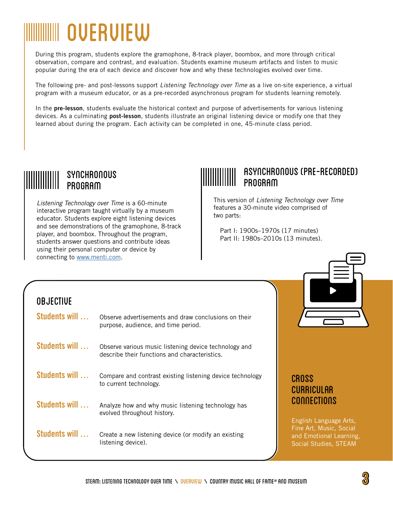# WWW OVERVIEW

During this program, students explore the gramophone, 8-track player, boombox, and more through critical observation, compare and contrast, and evaluation. Students examine museum artifacts and listen to music popular during the era of each device and discover how and why these technologies evolved over time.

The following pre- and post-lessons support *Listening Technology over Time* as a live on-site experience, a virtual program with a museum educator, or as a pre-recorded asynchronous program for students learning remotely.

In the **pre-lesson**, students evaluate the historical context and purpose of advertisements for various listening devices. As a culminating **post-lesson**, students illustrate an original listening device or modify one that they learned about during the program. Each activity can be completed in one, 45-minute class period.

# Synchronous ethemier<br>PROGRAM

*Listening Technology over Time* is a 60-minute interactive program taught virtually by a museum educator. Students explore eight listening devices and see demonstrations of the gramophone, 8-track player, and boombox. Throughout the program, students answer questions and contribute ideas using their personal computer or device by connecting to www.menti.com.

# Asynchronous (Pre-recorded) nomomio<br>PROGRAM

This version of *Listening Technology over Time* features a 30-minute video comprised of two parts:

 Part I: 1900s–1970s (17 minutes) Part II: 1980s–2010s (13 minutes).

## **OBJECTIVE**

| Students will | Observe advertisements and draw conclusions on their<br>purpose, audience, and time period.            |
|---------------|--------------------------------------------------------------------------------------------------------|
| Students will | Observe various music listening device technology and<br>describe their functions and characteristics. |
| Students will | Compare and contrast existing listening device technology<br>to current technology.                    |
| Students will | Analyze how and why music listening technology has<br>evolved throughout history.                      |
| Students will | Create a new listening device (or modify an existing<br>listening device).                             |

## **CROSS CURRICUI AR** Connections

English Language Arts, Fine Art, Music, Social and Emotional Learning, Social Studies, STEAM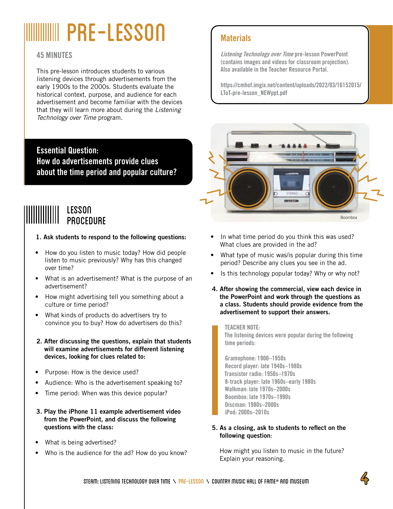# **WILLIAN PRE-LESSON** Materials

### **45 MINUTES**

This pre-lesson introduces students to various listening devices through advertisements from the early 1900s to the 2000s. Students evaluate the historical context, purpose, and audience for each advertisement and become familiar with the devices that they will learn more about during the *Listening Technology over Time* program.

**Essential Question: How do advertisements provide clues about the time period and popular culture?**

# LEsson <u>reggon</u><br>Procedure

### **1. Ask students to respond to the following questions:**

- How do you listen to music today? How did people listen to music previously? Why has this changed over time?
- What is an advertisement? What is the purpose of an advertisement?
- How might advertising tell you something about a culture or time period?
- What kinds of products do advertisers try to convince you to buy? How do advertisers do this?
- **2. After discussing the questions, explain that students will examine advertisements for different listening devices, looking for clues related to:**
- Purpose: How is the device used?
- Audience: Who is the advertisement speaking to?
- Time period: When was this device popular?
- **3. Play the iPhone 11 example advertisement video from the PowerPoint, and discuss the following questions with the class:**
- What is being advertised?
- Who is the audience for the ad? How do you know?

**Listening Technology over Time pre-lesson [PowerPoint](https://cmhof.imgix.net/content/uploads/2022/03/16152015/LToT-pre-lesson_NEWppt.pdf) (contains images and videos for classroom projection). Also available in the Teacher Resource Portal.**

**[https://cmhof.imgix.net/content/uploads/2022/03/16152015/](https://cmhof.imgix.net/content/uploads/2022/03/16152015/LToT-pre-lesson_NEWppt.pdf) [LToT-pre-lesson\\_NEWppt.pdf](https://cmhof.imgix.net/content/uploads/2022/03/16152015/LToT-pre-lesson_NEWppt.pdf)**



- In what time period do you think this was used? What clues are provided in the ad?
- What type of music was/is popular during this time period? Describe any clues you see in the ad.
- Is this technology popular today? Why or why not?
- **4. After showing the commercial, view each device in the PowerPoint and work through the questions as a class. Students should provide evidence from the advertisement to support their answers.**

### **TEACHER NOTE:**

**The listening devices were popular during the following time periods:** 

**Gramophone: 1900–1950s Record player: late 1940s–1980s Transistor radio: 1950s–1970s 8-track player: late 1960s–early 1980s Walkman: late 1970s–2000s Boombox: late 1970s–1990s Discman: 1980s–2000s iPod: 2000s–2010s** 

### **5. As a closing, ask to students to reflect on the following question**:

How might you listen to music in the future? Explain your reasoning.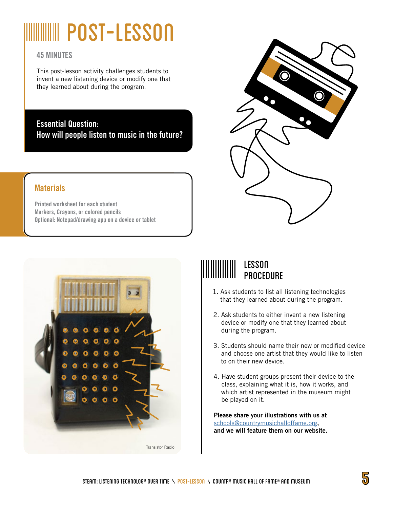# WIIIIIIIIIII POST-LESSON

### **45 MINUTES**

This post-lesson activity challenges students to invent a new listening device or modify one that they learned about during the program.

**Essential Question: How will people listen to music in the future?** 

## **Materials**

**Printed worksheet for each student Markers, Crayons, or colored pencils Optional: Notepad/drawing app on a device or tablet** 





## LEsson **ECOON**<br>Procedure

- 1. Ask students to list all listening technologies that they learned about during the program.
- 2. Ask students to either invent a new listening device or modify one that they learned about during the program.
- 3. Students should name their new or modified device and choose one artist that they would like to listen to on their new device.
- 4. Have student groups present their device to the class, explaining what it is, how it works, and which artist represented in the museum might be played on it.

**Please share your illustrations with us at** schools@countrymusichalloffame.org**, and we will feature them on our website.**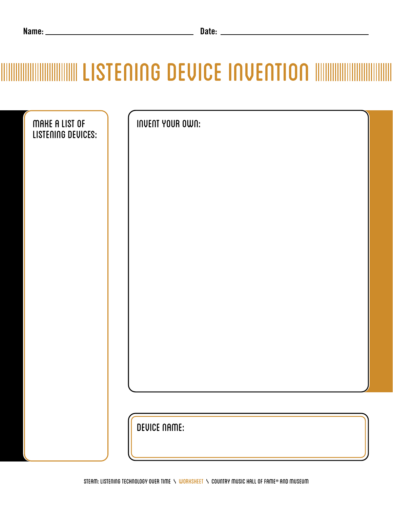| Name: | vale: |
|-------|-------|
|       |       |

# **MINIMING DEVICE INVENTION IN AN INCORPORATION IN A LIGHT OF A LIGHT OF A LIGHT OF A LIGHT OF A LIGHT OF A LIGH**

| MAKE A LIST OF<br>LISTENING DEVICES: | <b>INVENT YOUR OWN:</b> |
|--------------------------------------|-------------------------|
|                                      |                         |
|                                      |                         |
|                                      |                         |
|                                      |                         |
|                                      |                         |
|                                      |                         |
|                                      |                         |
|                                      | <b>DEVICE NAME:</b>     |
|                                      |                         |